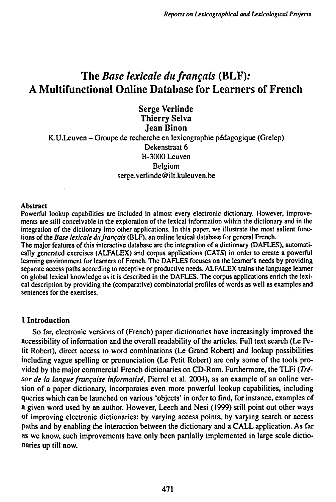# **The** *Base lexicale du français* **(BLF): A Multifunctional Online Database for Learners of French**

**Serge Verlinde Thierry Selva Jean Binon** K.U.Leuven - Groupe de recherche en lexicographic pédagogique (Grelcp) Dekenstraat 6 B-3000 Leuven Belgium serge.verlinde @ ilt.kuleuven.be

#### Abstract

Powerful lookup capabilities are included in almost every electronic dictionary. However, improvements are still conceivable in the exploration of the lexical information within the dictionary and in the integration of the dictionary into other applications. In this paper, we illustrate the most salient functions of the *Base lexicale du /rançais* (BLF), an online lexical database for general French.

The major features of this interactive database are the integration of a dictionary (DAFLES), automatically generated exercises (ALFALEX) and corpus applications (CATS) in order to create a powerful learning environment for learners of French. The DAFLES focuses on the learner's needs by providing separate access paths according to receptive or productive needs. ALFALEX trains the language learner on global lexical knowledge as it is described in the DAFLES. The corpus applications enrich the lexical description by providing the (comparative) combinatorial profiles of words as well as examples and sentences for the exercises.

### **1 Introduction**

So far, electronic versions of (French) paper dictionaries have increasingly improved the accessibility of information and the overall readability of the articles. Full text search (Le Petit Robert), direct access to word combinations (Le Grand Robert) and lookup possibilities including vague spelling or pronunciation (Le Petit Robert) are only some of the tools provided by the major commercial French dictionaries on CD-Rom. Furthermore, the TLFi *(Trésor de la langue française informatisi,* Pierrel et ai. 2004), as an example of an online version of a paper dictionary, incorporates even more powerful lookup capabilities, including queries which can be launched on various 'objects' in order to find, for instance, examples of a given word used by an author. However, Leech and Nesi (1999) still point out other ways of improving electronic dictionaries: by varying access points, by varying search or access paths and by enabling the interaction between the dictionary and a CALL application. As far as we know, such improvements have only been partially implemented in large scale dictionaries up till now.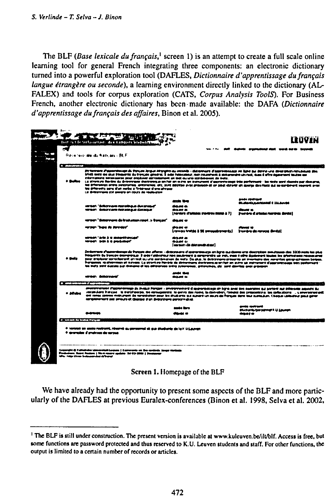The BLF (Base lexicale du français,<sup>1</sup> screen 1) is an attempt to create a full scale online learning tool for general French integrating three components: an electronic dictionary turned into a powerful exploration tool (DAFLES, Dictionnaire d'apprentissage du français langue étrangère ou seconde), a learning environment directly linked to the dictionary (AL-FALEX) and tools for corpus exploration (CATS, Corpus Analysis ToolS). For Business French, another electronic dictionary has been made available: the DAFA (Dictionnaire d'apprentissage du français des affaires, Binon et al. 2005).



Screen 1. Homepage of the BLF

We have already had the opportunity to present some aspects of the BLF and more particularly of the DAFLES at previous Euralex-conferences (Binon et al. 1998, Selva et al. 2002,

<sup>&</sup>lt;sup>1</sup> The BLF is still under construction. The present version is available at www.kuleuven.be/ilt/blf. Access is free, but some functions are password protected and thus reserved to K.U. Leuven students and staff. For other functions, the output is limited to a certain number of records or articles.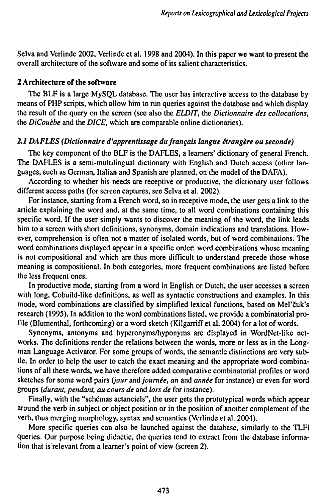Selva and Verlinde 2002, Verlinde et al. 1998 and 2004). In this paper we want to present the overall architecture of the software and some of its salient characteristics.

# 2 **Architecture** of **the software**

The BLF is a large MySQL database. The user has interactive access to the database by means of PHP scripts, which allow him to run queries against the database and which display the result of the query on the screen (see also the *ELDIT,* the *Dictionnaire des collocations,* the *DiCouèbe* and the *DICE,* which are comparable online dictionaries).

# *2.1 DAFLES (Dictionnaire d'apprentissage du/rançais langue ¿frangere ou seconde)*

The key component of the BLF is the DAFLES, a learners' dictionary of general French. The DAFLES is a semi-multilingual dictionary with English and Dutch access (other languages, such as German, Italian and Spanish are planned, on the model of the DAFA).

According to whether his needs are receptive or productive, the dictionary user follows different access paths (for screen captures, see Selva et al. 2002).

For instance, starting from a French word, so in receptive mode, the user gets a link to the article explaining the word and, at the same time, to all word combinations containing this specific word. If the user simply wants to discover the meaning of the word, the link leads him to a screen with short definitions, synonyms, domain indications and translations. However, comprehension is often not a matter of isolated words, but of word combinations. The word combinations displayed appear in a specific order: word combinations whose meaning is not compositional and which are thus more difficult to understand precede those whose meaning is compositional. In both categories, more frequent combinations are listed before the less frequent ones.

In productive mode, starting from a word in English or Dutch, the user accesses a screen with long, Cobuild-like definitions, as well as syntactic constructions and examples. In this mode, word combinations are classified by simplified lexical functions, based on Mel'cuk's research (1995). In addition to the word combinations listed, we provide a combinatorial profile (Blumenthal, forthcoming) or a word sketch (Kilgarriff et al. 2004) for a lot of words.

Synonyms, antonyms and hyperonyms/hyponyms are displayed in WordNet-like networks. The definitions render the relations between the words, more or less as in the Longman Language Activator. For some groups of words, the semantic distinctions are very subtle. In order to help the user to catch the exact meaning and the appropriate word combinations of all these words, we have therefore added comparative combinatorial profiles or word sketches for some word pairs *(Jour* and *journée, an* and *année* for instance) or even for word groups *(durant, pendant, au cours de* and *lors de* for instance).

Finally, with the "schčmas actanciels", the user gets the prototypical words which appear around the verb in subject or object position or in the position of another complement of the verb, thus merging morphology, syntax and semantics (Verlinde et al. 2004).

More specific queries can also be launched against the database, similarly to the TLFi queries. Our purpose being didactic, the queries tend to extract from the database information that is relevant from a learner's point of view (screen 2).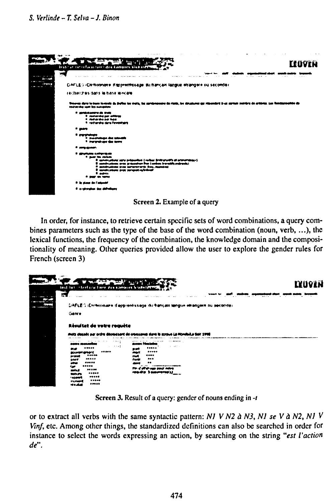## S. Verlinde - T. Selva - J. Binon



Screen 2. Example of a query

In order, for instance, to retrieve certain specific sets of word combinations, a query combines parameters such as the type of the base of the word combination (noun, verb, ...), the lexical functions, the frequency of the combination, the knowledge domain and the compositionality of meaning. Other queries provided allow the user to explore the gender rules for French (screen 3)

| inst fut interface/time ges admises breastered |                                                                             | Ituven |
|------------------------------------------------|-----------------------------------------------------------------------------|--------|
| 云王                                             |                                                                             |        |
|                                                | DAFLEG (Dichosinare d'apprentissage du bançais tangue etrangère ou seconde) |        |
| Genre                                          |                                                                             |        |
| <b>ALCOHOL:</b>                                | <b>CONTRACTOR</b><br>the figures of the Re-                                 |        |
|                                                |                                                                             |        |
| <b>1999 B</b>                                  |                                                                             |        |
| *****<br>--                                    | <br>- -                                                                     |        |
| MANUNGURA (<br>7.0040                          | <br>mar<br>1.000                                                            |        |
| <b>PT 1001</b><br>*****                        | md<br><br>tore                                                              |        |
| sore<br><br>e ve                               |                                                                             |        |
|                                                |                                                                             |        |
| <br>mer                                        | For a silab saw your notes                                                  |        |
| <br>tutus.<br><br>* adults                     | readis Sommercell,                                                          |        |

Screen 3. Result of a query: gender of nouns ending in -t

or to extract all verbs with the same syntactic pattern: NI V N2  $\alpha$  N3, N1 se V  $\alpha$  N2, N1 V Vinf, etc. Among other things, the standardized definitions can also be searched in order for instance to select the words expressing an action, by searching on the string "est l'action de".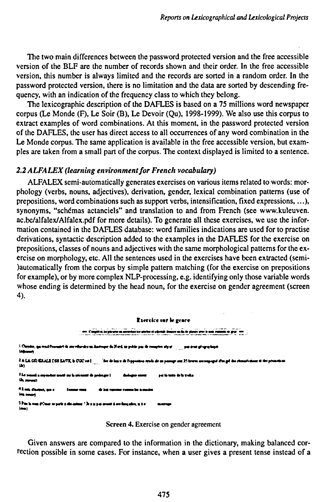The two main differences between the password protected version and the free accessible version of the BLF are the number of records shown and their order. In the free accessible version, this number is always limited and the records are sorted in a random order. In the password protected version, there is no limitation and the data are sorted by descending frequency, with an indication of the frequency class to which they belong.

The lexicographic description of the DAFLES is based on a 75 millions word newspaper corpus (Le Monde (F), Le Soir (B), Le Devoir (Qu), 1998-1999). We also use this corpus to extract examples of word combinations. At this moment, in the password protected version of the DAFLES, the user has direct access to all occurrences of any word combination in the Le Monde corpus. The same application is available in the free accessible version, but examples are taken from a small part of the corpus. The context displayed is limited to a sentence.

#### *2.2 ALFALEX (¡earning environmentfor French vocabulary)*

ALFALEX semi-automatically generates exercises on various items related to words: morphology (verbs, nouns, adjectives), derivation, gender, lexical combination patterns (use of prepositions, word combinations such as support verbs, intensification, fixed expressions,...), synonyms, "schémas actanciels" and translation to and from French (see www.kuleuven. ac.bc/alfalex/Alfalex.pdf for more details). To generate all these exercises, we use the information contained in the DAFLES database: word families indications are used for to practise derivations, syntactic description added to the examples in the DAFLES for the exercise on prepositions, classes of nouns and adjectives with the same morphological patterns for the exercise on morphology, etc. All the sentences used in the exercises have been extracted (semi- )automatically from the corpus by simple pattern matching (for the exercise on prepositions for example), or by more complex NLP-processing, e.g. identifying only those variable words whose ending is determined by the head noun, for the exercise on gender agreement (screen 4).

#### **Kitrckc «r le £carr**





Given answers are compared to the information in the dictionary, making balanced correction possible in some cases. For instance, when a user gives a present tense instead of a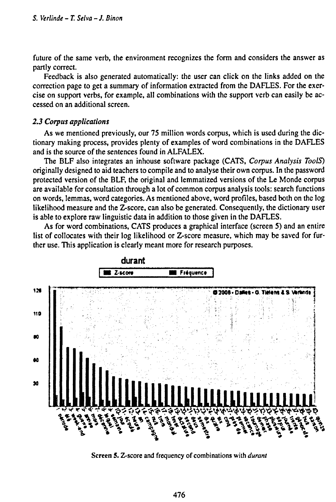future of the same verb, the environment recognizes the form and considers the answer as partly correct.

Feedback is also generated automatically: the user can click on the links added on the correction page to get a summary of information extracted from the DAFLES. For the exercise on support verbs, for example, all combinations with the support verb can easily be accessed on an additional screen.

#### *2.3 Corpus applications*

As we mentioned previously, our 75 million words corpus, which is used during the dictionary making process, provides plenty of examples of word combinations in the DAFLES and is the source of the sentences found in ALFALEX.

The BLF also integrates an inhouse software package (CATS, *Corpus Analysis ToolS)* originally designed to aid teachers to compile and to analyse their own corpus. In the password protected version of the BLF, the original and lemmatized versions of the Le Monde corpus are available for consultation through a lot of common corpus analysis tools: search functions on words, lemmas, word categories. As mentioned above, word profiles, based both on the log likelihood measure and the  $Z$ -score, can also be generated. Consequently, the dictionary user is able to explore raw linguistic data in addition to those given in the DAFLES.

As for word combinations, CATS produces a graphical interface (screen 5) and an entire list of collocates with their log likelihood or Z-score measure, which may be saved for further use. This application is clearly meant more for research purposes.



Screen 5. Z-score and frequency of combinations with *durant*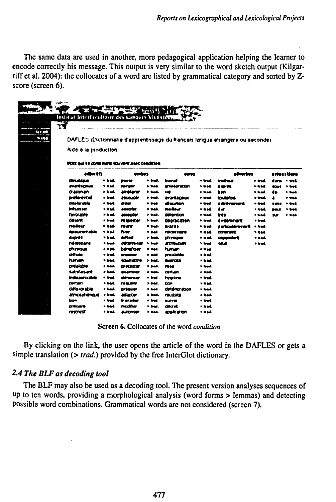The same data are used in another, more pedagogical application helping the learner to encode correctly his message. This output is very similar to the word sketch output (Kilgarriff et al. 2004): the collocates of a word are listed by grammatical category and sorted by Zscore (screen 6).

|                                                |                   |                              |                    |                              |                   | DAFLES (Dictionnaire d'apprentissage du Pançais langue etrangere ou seconde) |                   |             |                            |
|------------------------------------------------|-------------------|------------------------------|--------------------|------------------------------|-------------------|------------------------------------------------------------------------------|-------------------|-------------|----------------------------|
| Nde a la production                            |                   |                              |                    |                              |                   |                                                                              |                   |             |                            |
| licits and so combinant convent anne condition |                   |                              |                    |                              |                   |                                                                              |                   |             |                            |
| <b>adjustifs</b>                               |                   | verbes                       |                    | <b>DOVES</b>                 |                   | adverbas                                                                     |                   |             | ardess Itlens              |
| drurissa                                       | - I IVE           | nees:                        | .                  | travat                       | - bai             | madase                                                                       | o wed             |             | - vol                      |
| evertsonss                                     | <b>&gt; touch</b> | romate                       | <b>. </b>          | amékaratzan                  | > bod             | osprés                                                                       | r bad             | انحت        | r eed                      |
| <b><i>GROOMER</i></b><br><b>DIRANTIA</b>       | > had<br>e bad    | arelerer<br>attoutir         | > trad.<br>r bak   | 10<br><b>ANDRAGOUR</b>       | > hod<br>e trad   | ban<br>to Aufon                                                              | > bad<br>o tend   | de          | $\rightarrow$ and<br>r trá |
| désigraies                                     | $-$ bad.          | <b>ate</b>                   | - see              | di mutan                     | * bad             | a delemento                                                                  | o wad             | 1618        | - tul                      |
| inturnan                                       | $-$ bad.          | <b>Assorbit</b>              | <b>&gt; 946.</b>   | me Bour                      | $-0.14$           | dur                                                                          | • usd             | <b>DOLF</b> | * tod                      |
| <b>Texts able</b>                              | <b>Phoat</b>      | <b>ANOBER OF</b>             | > bad.             | difference                   | > bad             | très                                                                         | > total           | 45          | > wad                      |
| <b>GELEVE</b>                                  | a bank            | <b>NUMBER</b>                | > bak              | desradation                  | * bok             | <b>Anderstern</b>                                                            | t bad             |             |                            |
| moders                                         | n bad             | <b>POWER</b>                 | v tred.            | 872789                       | o trad            | a ortmulaire marit                                                           | e trad            |             |                            |
| da surantukla                                  | $+ - +$           | n.                           | ⇒ bad.             | ndconserve                   | * bai             | <b>convent</b>                                                               | $• b + 1$         |             |                            |
| extrêt                                         | "                 | délet                        | > bak              | divestore                    | <b>The Deal</b>   | conondert                                                                    | 7- mark           |             |                            |
| <b>IN 1955 MM</b>                              | $\bullet$ local.  | <b>GREETING</b>              | <b>Stand</b>       | <b><i>BOTHADOR</i></b>       | <b>&gt; load</b>  | 99.A                                                                         | <b>&gt;</b> load. |             |                            |
| thresia                                        | o bad             | <b>bérafrons</b>             | w bad.             | human <sub>1</sub>           | o lead.           |                                                                              |                   |             |                            |
| drob                                           | * ord             | <b>IN CORN'</b>              | n trat             | crootable                    | * bai             |                                                                              |                   |             |                            |
| <b>human</b>                                   | $-$ basis         | courative                    | > bad.             | <b>Building</b>              | $+ - -$           |                                                                              |                   |             |                            |
| presiduo                                       | > had.            | <b>DISCUSSION</b>            | > bat.             | <b>1940</b>                  | > trad.           |                                                                              |                   |             |                            |
| Satrifacturit                                  | $\sim$ local.     | dsaffindi                    | e bak              | <b>contain</b>               | e bad.            |                                                                              |                   |             |                            |
| indusunsakin                                   | o bad.            | dénancar                     | - 1-4              | hraena                       | o bad             |                                                                              |                   |             |                            |
| partam                                         | <b>Nast</b>       | <b><i><u>results</u></i></b> | 2 24d.             | boy                          | $5-10$            |                                                                              |                   |             |                            |
| がいけい                                           | > bad.            | artour                       | > <del>b</del> ad. | deteror soon                 | > trad.           |                                                                              |                   |             |                            |
| <b><i>etmosofrencie</i></b>                    | * Inad            | <b>ASKODER</b>               | b bad.             | <b><i><u>TEULIOS</u></i></b> | a bad             |                                                                              |                   |             |                            |
| bon<br><b>DIVECANTS</b>                        | + trad            | tressing<br>modifier         | .<br>* trad        | <b>MAYE</b><br>ddaret        | o brad.<br>n Insk |                                                                              |                   |             |                            |
|                                                | $\rightarrow$ and |                              |                    |                              |                   |                                                                              |                   |             |                            |

Screen 6. Collocates of the word condition

By clicking on the link, the user opens the article of the word in the DAFLES or gets a simple translation  $($  > trad.) provided by the free InterGlot dictionary.

# 2.4 The BLF as decoding tool

The BLF may also be used as a decoding tool. The present version analyses sequences of up to ten words, providing a morphological analysis (word forms > lemmas) and detecting possible word combinations. Grammatical words are not considered (screen 7).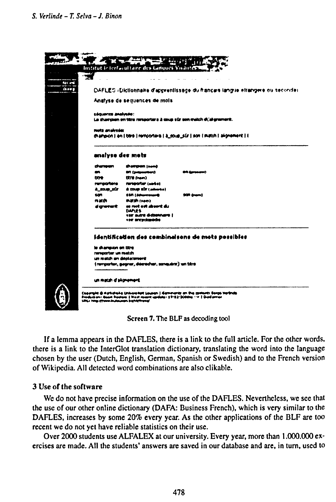

**Screen** 7. The BLF as decoding tool

If a lemma appears in the DAFLES, there is a link to the full article. For the other words, there is a link to the InterGlot translation dictionary, translating the word into the language chosen by the user (Dutch, English, German, Spanish or Swedish) and to the French version of Wikipedia. All detected word combinations are also clikable.

### 3 Use of **the** software

We do not have precise information on the use of the DAFLES. Nevertheless, we see that the use of our other online dictionary (DAFA: Business French), which is very similar to the DAFLES, increases by some 20% every year. As the other applications of the BLF are too recent we do not yet have reliable statistics on their use.

Over 2000 students use ALFALEX at our university. Every year, more than 1.000.000 exercises are made. All the students' answers are saved in our database and are, in turn, used to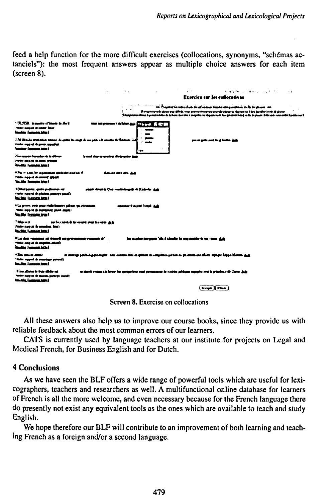feed a help function for the more difficult exercises (collocations, synonyms, "schémas actanciels"): the most frequent answers appear as multiple choice answers for each item (screen 8).

|                                                                                                                                                                 |                                                                                                                |     |                                                                          | 化乙烯酸盐酸 计空间 电电视电视 人名英格兰人姓氏卡尔的变体                                                                                                                                                                                                                                                                                                                               |  |  |  |
|-----------------------------------------------------------------------------------------------------------------------------------------------------------------|----------------------------------------------------------------------------------------------------------------|-----|--------------------------------------------------------------------------|--------------------------------------------------------------------------------------------------------------------------------------------------------------------------------------------------------------------------------------------------------------------------------------------------------------------------------------------------------------|--|--|--|
|                                                                                                                                                                 | Exercice sur les collocations                                                                                  |     |                                                                          |                                                                                                                                                                                                                                                                                                                                                              |  |  |  |
|                                                                                                                                                                 |                                                                                                                |     |                                                                          | an' Napara nosa a bao ao amin'ny tanàna amin'ny taona 2008–2014. Ilay kaominina dia kaominina mpikambana amin'<br>مجدل بالرشم اطلاعها وبالأمم ويجدون وراضيان والمعودة ويتوسط ويحييها والكرار ويساردون ويجرد والمستحدث<br>They procedure is prestrainties to below thrown a majoine vastages note too possess beed as by places their operators public car is |  |  |  |
| 170-750, is made a fidapin in that<br>Friday support de pointer Salari<br>المضخ مفسحما لسلفسها                                                                  | a san pamaanti da Mari <u>Sala Citiya ya A</u> li (Cit                                                         |     |                                                                          |                                                                                                                                                                                                                                                                                                                                                              |  |  |  |
| 234 Should state state search in color by coup in the pair in the control of th<br>Product support de games annualizat<br><b>Consider 1 Instrumental Consti</b> |                                                                                                                | rbo | na wate muku kutha Adi                                                   |                                                                                                                                                                                                                                                                                                                                                              |  |  |  |
| ) for names however in the definition<br><b>Trade sports &amp; more school</b><br><b>Consider I homewhere home I</b>                                            | فرستنه والتال تعادده ورساء المعربة                                                                             |     |                                                                          |                                                                                                                                                                                                                                                                                                                                                              |  |  |  |
| 4 Da in past, by a generican quotidate and his if<br><b>Triples support do content school</b><br>Film After Eingengens betech                                   | dament ages also: Jude                                                                                         |     |                                                                          |                                                                                                                                                                                                                                                                                                                                                              |  |  |  |
| 5 Diffust papelay, against perdictations rate<br>Implies state of the platform protective search.<br><b>Concelling I by expansion better I</b>                  | state Averts Can restaurable & Kolmie Ade                                                                      |     |                                                                          |                                                                                                                                                                                                                                                                                                                                                              |  |  |  |
| 4 La provincia conte staga riaglo linguato gallega ripa, storeggang,<br>Franks support de matements, panel amplies<br><b>Final stilles I formation beam!</b>    | assessed the settlement state                                                                                  |     |                                                                          |                                                                                                                                                                                                                                                                                                                                                              |  |  |  |
| <b>This wa</b><br>terfactura is lat coate and haven dela<br>Probe noord & amades, both<br><b>Uncolne Hennes Interi</b>                                          |                                                                                                                |     |                                                                          |                                                                                                                                                                                                                                                                                                                                                              |  |  |  |
| The dop resident of drams are providently research of<br><b>This rays is made about</b><br><b><i><u><u>Filtedding I Looperdan Institut</u></u></i></b>          |                                                                                                                |     | des exprime instrumer "the il identity by expressive in our states sinks |                                                                                                                                                                                                                                                                                                                                                              |  |  |  |
| <b>12n au u deur</b><br><b>Trade superi de countage potenti</b><br><b>Engineeri (communication)</b>                                                             | m shares serbishaga mara-ang sonon das a croice de implema salue es quinda es diver, molar filare Month dia    |     |                                                                          |                                                                                                                                                                                                                                                                                                                                                              |  |  |  |
| ی مقال بود به پوری براد!<br>Product managered the statements, constants acquaints<br>المتعد مفسفية تعشقها                                                       | کے مدالے کہ دوگیاہوں کوہد ہواؤں کوراس ہواؤں کے وہدیدیوں اور محمد اللہ کو انتہاجی ہوا۔ وہدی کی انتہاجہ نامجاز ک |     |                                                                          |                                                                                                                                                                                                                                                                                                                                                              |  |  |  |
|                                                                                                                                                                 |                                                                                                                |     | $ $ by $ $ $ $ $ $ $ $ $ $                                               |                                                                                                                                                                                                                                                                                                                                                              |  |  |  |

Screen 8. Exercise on collocations

All these answers also help us to improve our course books, since they provide us with reliable feedback about the most common errors of our learners.

CATS is currently used by language teachers at our institute for projects on Legal and Medical French, for Business English and for Dutch.

### **4 Conclusions**

As we have seen the BLF offers a wide range of powerful tools which are useful for lexicographers, teachers and researchers as well. A multifunctional online database for learners of French is all the more welcome, and even necessary because for the French language there do presently not exist any equivalent tools as the ones which are available to teach and study English.

We hope therefore our BLF will contribute to an improvement of both learning and teaching French as a foreign and/or a second language.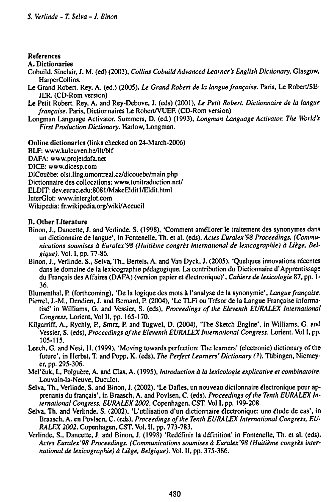#### **References**

#### **A. Dictionaries**

- **Cobuild. Sinclair, J. M. (ed) (2003),** *Collins CobuildAdvanced Learner's English Dictionary.* **Glasgow, HarperCollins.**
- **Le Grand Robert. Rey, A. (ed.) (2005),** *Le Grand Robert de la langue française.* **Paris, Le Robert/SE-JER. (CD-Rom version)**
- **Le Petit Robert. Rey, A. and Rey-Debove, J. (eds) (2001),** *Le Petit Robert. Dictionnaire de la langue française.* **Paris, Dictionnaires Le Robert/VUEF. (CD-Rom version)**
- **Longman Language Activator. Summers, D. (ed.) (1993),** *Longman Language Activator. The World's First Production Dictionary.* **Harlow, Longman.**

**Online dictionaries (links checked on 24-March-2006)**

**BLF: www.kuleuven.be/ilt/blf DAFA: www.projetdafa.net DICE: www.dicesp.com DiCoučbe: olst.ling.umontreal.ca/dicouebe/main.php Dictionnaire des collocations: www.tonitraduction.net/ ELDIT:dev.eurac.edu:8081/MakeElditl/Eldit.html InterGlot: www.interglot.com Wikipedia: fr.wikipcdia.org/wiki/Accueil**

#### **n. Other Literature**

- **Binon, J., Dancette, J. and Verlinde, S. (1998), 'Comment améliorer le traitement des synonymes dans un dictionnaire de langue', in Fontenelle, Th. et ai. (eds),** *Actes Euralex'98 Proceedings. (Communications soumises à Euralex'98 (Huitième congrès international de lexicographic) à Liege, Belgique).* **Vol. I, pp. 77-86.**
- **Binon, J., Verlinde, S., Selva, Th., Berteis, A. and Van Dyck, J. (2005), 'Quelques innovations recentes dans le domaine de la lexicographic pédagogique. La contribution du Dictionnaire d'Apprentissage du Français des Affaires (DAFA) (version papier et électronique)',** *Cahiers de lexicologie* **87, pp. <sup>1</sup> - 36.**

**Blumenthal, P. (forthcoming), 'De la logique des mots à l'analyse de la synonymie',** *Langue française.*

- **Pierrel, J.-M, Dendien, J. and Bernard, P. (2004), 'Le TLFi ou Trésor de la Langue Française informatise" in Williams, G. and Vessier, S. (eds),** *Proceedings of the Eleventh EURALEX International Congress,* **Lorient, Vol II, pp. 165-170.**
- **Kilgarriff, A., Rychly, P., Smrz, P. and Tugwel, D. (2004), The Sketch Engine', in Williams, G. and Vessier, S. (eds),** *Proceedings ofthe Eleventh EURALEX International Congress.* **Lorient. Vol I, pp. 105-115.**
- **Leech, G. and Nesi, H. (1999), 'Moving towards perfection: The learners' (electronic) dictionary of the future', in Herbst, T. and Popp, K. (eds),** *The Perfect Learners' Dictionary (?).* **Tübingen, Niemeyer, pp. 295-306.**
- **Mel'cuk, L, Polgučre, A. and Clas, A. (1995),** *Introduction à la lexicologie explicative et combinatoire.* **Louvain-Ia-Neuve, Duculot.**
- **Selva, Th., Verlinde, S. and Binon, J. (2002), 'Le Dafles, un nouveau dictionnaire électronique pour apprenants du français', in Braasch, A. and Povlsen, C. (eds).** *Proceedings ofthe Tenth EURALEX International Congress, EURALEX 2002.* **Copenhagen, CST. Vol I, pp. 199-208.**
- **Selva, Th. and Verlinde, S. (2002), 'L'utilisation d'un dictionnaire électronique: une étude de cas', in Braasch, A. en Povlsen, C. (eds),** *Proceedings ofthe Tenth EURALEX International Congress, EU-RALEX 2002.* **Copenhagen, CST. Vol. II, pp. 773-783.**
- Verlinde, S., Dancette, J. and Binon, J. (1998) 'Redéfinir la définition' in Fontenelle, Th. et al. (eds), *Actes Euralex'98 Proceedings. (Communications soumises à Euralex'98 (Huitième congrès international de lexicographie) à Liege, Belgique).* **Vol. II, pp. 375-386.**